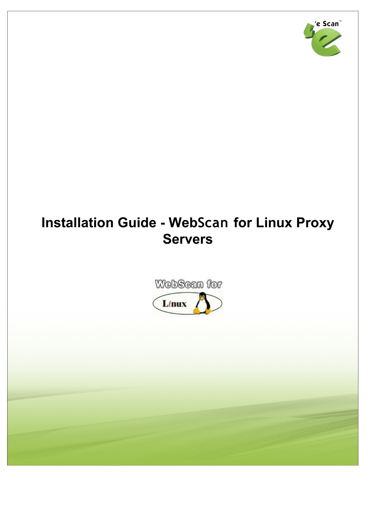

# **Installation Guide - WebScan for Linux Proxy Servers**

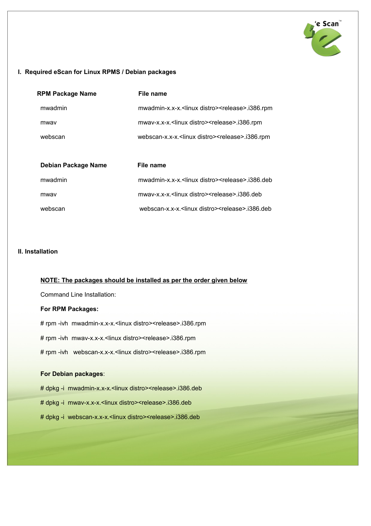

## **I. Required eScan for Linux RPMS / Debian packages**

| <b>RPM Package Name</b> | File name                                                            |
|-------------------------|----------------------------------------------------------------------|
| mwadmin                 | mwadmin-x.x-x. <linux distro=""><release>.i386.rpm</release></linux> |
| mway                    | mwav-x.x-x. <linux distro=""><release>.i386.rpm</release></linux>    |
| webscan                 | webscan-x.x-x. <linux distro=""><release>.i386.rpm</release></linux> |
|                         |                                                                      |
| Debian Package Name     | File name                                                            |
| mwadmin                 | mwadmin-x.x-x. <linux distro=""><release>.i386.deb</release></linux> |
| mway                    | mway-x.x-x. <linux distro=""><release>.i386.deb</release></linux>    |
| webscan                 | webscan-x.x-x. <linux distro=""><release>.i386.deb</release></linux> |

## **II. Installation**

#### **NOTE: The packages should be installed as per the order given below**

Command Line Installation:

### **For RPM Packages:**

# rpm -ivh mwadmin-x.x-x.<linux distro><release>.i386.rpm # rpm -ivh mwav-x.x-x.<linux distro><release>.i386.rpm

# rpm -ivh webscan-x.x-x.<linux distro><release>.i386.rpm

#### **For Debian packages**:

# dpkg -i mwadmin-x.x-x.<linux distro><release>.i386.deb

# dpkg -i mwav-x.x-x.<linux distro><release>.i386.deb

# dpkg -i webscan-x.x-x.<linux distro><release>.i386.deb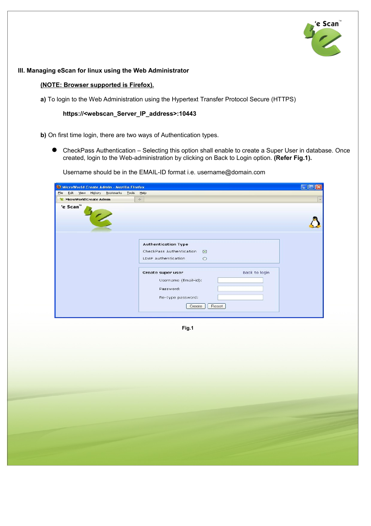

#### **III. Managing eScan for linux using the Web Administrator**

#### **(NOTE: Browser supported is Firefox).**

**a)** To login to the Web Administration using the Hypertext Transfer Protocol Secure (HTTPS)

**https://<webscan\_Server\_IP\_address>:10443**

**b)** On first time login, there are two ways of Authentication types.

 CheckPass Authentication – Selecting this option shall enable to create a Super User in database. Once created, login to the Web-administration by clicking on Back to Login option. **(Refer Fig.1).**

Username should be in the EMAIL-ID format i.e. username@domain.com

| MicroWorld Create Admin - Mozilla Firefox      |                                     |               |  |  |  |
|------------------------------------------------|-------------------------------------|---------------|--|--|--|
| Edit View History Bookmarks Tools Help<br>Eile |                                     |               |  |  |  |
| MicroWorld Create Admin                        | $\frac{1}{2}$                       |               |  |  |  |
| 'e Scan™                                       |                                     |               |  |  |  |
|                                                |                                     |               |  |  |  |
|                                                |                                     |               |  |  |  |
|                                                |                                     |               |  |  |  |
|                                                |                                     |               |  |  |  |
|                                                | <b>Authentication Type</b>          |               |  |  |  |
|                                                | CheckPass Authentication<br>$\odot$ |               |  |  |  |
|                                                | LDAP Authentication<br>$\circ$      |               |  |  |  |
|                                                |                                     |               |  |  |  |
|                                                | Create super user                   | Back to login |  |  |  |
|                                                | Username (Email-id):                |               |  |  |  |
|                                                | Password:                           |               |  |  |  |
|                                                |                                     |               |  |  |  |
|                                                | Re-type password:                   |               |  |  |  |
|                                                | Reset<br>Create                     |               |  |  |  |
|                                                |                                     |               |  |  |  |

**Fig.1**